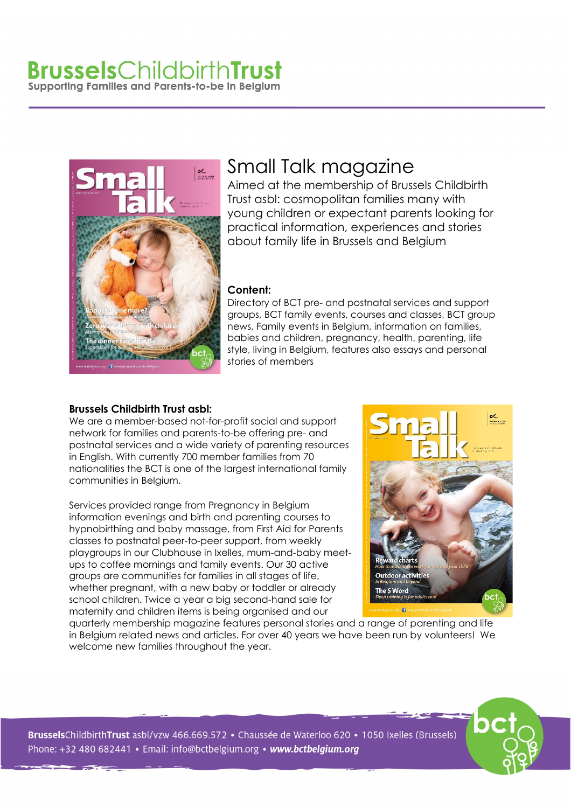# **Brussels**ChildbirthTrust Supporting Families and Parents-to-be in Belgium



# Small Talk magazine

Aimed at the membership of Brussels Childbirth Trust asbl: cosmopolitan families many with young children or expectant parents looking for practical information, experiences and stories about family life in Brussels and Belgium

#### **Content:**

Directory of BCT pre- and postnatal services and support groups, BCT family events, courses and classes, BCT group news, Family events in Belgium, information on families, babies and children, pregnancy, health, parenting, life style, living in Belgium, features also essays and personal stories of members

### **Brussels Childbirth Trust asbl:**

We are a member-based not-for-profit social and support network for families and parents-to-be offering pre- and postnatal services and a wide variety of parenting resources in English. With currently 700 member families from 70 nationalities the BCT is one of the largest international family communities in Belgium.

Services provided range from Pregnancy in Belgium information evenings and birth and parenting courses to hypnobirthing and baby massage, from First Aid for Parents classes to postnatal peer-to-peer support, from weekly playgroups in our Clubhouse in Ixelles, mum-and-baby meetups to coffee mornings and family events. Our 30 active groups are communities for families in all stages of life, whether pregnant, with a new baby or toddler or already school children. Twice a year a big second-hand sale for maternity and children items is being organised and our



quarterly membership magazine features personal stories and a range of parenting and life in Belgium related news and articles. For over 40 years we have been run by volunteers! We welcome new families throughout the year.